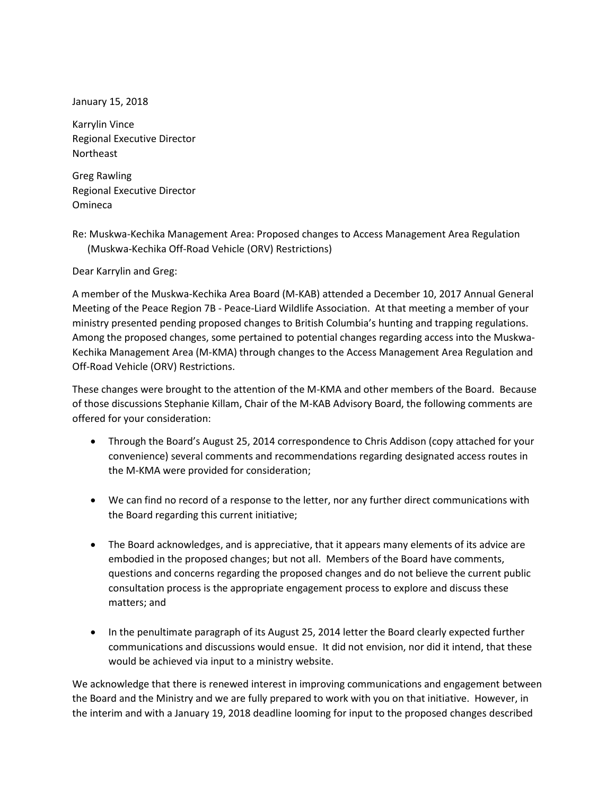January 15, 2018

Karrylin Vince Regional Executive Director Northeast

Greg Rawling Regional Executive Director Omineca

Re: Muskwa-Kechika Management Area: Proposed changes to Access Management Area Regulation (Muskwa-Kechika Off-Road Vehicle (ORV) Restrictions)

Dear Karrylin and Greg:

A member of the Muskwa-Kechika Area Board (M-KAB) attended a December 10, 2017 Annual General Meeting of the Peace Region 7B - Peace-Liard Wildlife Association. At that meeting a member of your ministry presented pending proposed changes to British Columbia's hunting and trapping regulations. Among the proposed changes, some pertained to potential changes regarding access into the Muskwa-Kechika Management Area (M-KMA) through changes to the Access Management Area Regulation and Off-Road Vehicle (ORV) Restrictions.

These changes were brought to the attention of the M-KMA and other members of the Board. Because of those discussions Stephanie Killam, Chair of the M-KAB Advisory Board, the following comments are offered for your consideration:

- Through the Board's August 25, 2014 correspondence to Chris Addison (copy attached for your convenience) several comments and recommendations regarding designated access routes in the M-KMA were provided for consideration;
- We can find no record of a response to the letter, nor any further direct communications with the Board regarding this current initiative;
- The Board acknowledges, and is appreciative, that it appears many elements of its advice are embodied in the proposed changes; but not all. Members of the Board have comments, questions and concerns regarding the proposed changes and do not believe the current public consultation process is the appropriate engagement process to explore and discuss these matters; and
- In the penultimate paragraph of its August 25, 2014 letter the Board clearly expected further communications and discussions would ensue. It did not envision, nor did it intend, that these would be achieved via input to a ministry website.

We acknowledge that there is renewed interest in improving communications and engagement between the Board and the Ministry and we are fully prepared to work with you on that initiative. However, in the interim and with a January 19, 2018 deadline looming for input to the proposed changes described